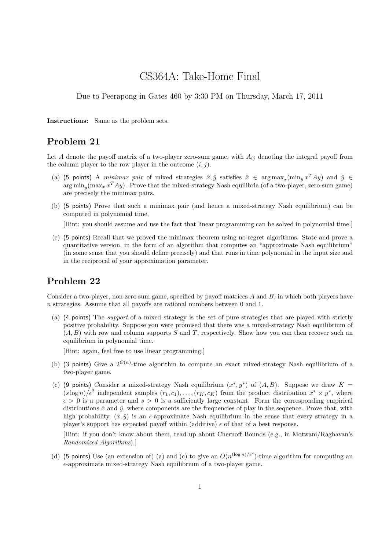# CS364A: Take-Home Final

Due to Peerapong in Gates 460 by 3:30 PM on Thursday, March 17, 2011

Instructions: Same as the problem sets.

### Problem 21

Let A denote the payoff matrix of a two-player zero-sum game, with  $A_{ij}$  denoting the integral payoff from the column player to the row player in the outcome  $(i, j)$ .

- (a) (5 points) A minimax pair of mixed strategies  $\hat{x}, \hat{y}$  satisfies  $\hat{x} \in \arg \max_x (\min_y x^T A y)$  and  $\hat{y} \in$  $\arg\min_y(\max_x x^T A y)$ . Prove that the mixed-strategy Nash equilibria (of a two-player, zero-sum game) are precisely the minimax pairs.
- (b) (5 points) Prove that such a minimax pair (and hence a mixed-strategy Nash equilibrium) can be computed in polynomial time.

[Hint: you should assume and use the fact that linear programming can be solved in polynomial time.]

(c) (5 points) Recall that we proved the minimax theorem using no-regret algorithms. State and prove a quantitative version, in the form of an algorithm that computes an "approximate Nash equilibrium" (in some sense that you should define precisely) and that runs in time polynomial in the input size and in the reciprocal of your approximation parameter.

### Problem 22

Consider a two-player, non-zero sum game, specified by payoff matrices  $A$  and  $B$ , in which both players have n strategies. Assume that all payoffs are rational numbers between 0 and 1.

(a) (4 points) The support of a mixed strategy is the set of pure strategies that are played with strictly positive probability. Suppose you were promised that there was a mixed-strategy Nash equilibrium of  $(A, B)$  with row and column supports S and T, respectively. Show how you can then recover such an equilibrium in polynomial time.

[Hint: again, feel free to use linear programming.]

- (b) (3 points) Give a  $2^{O(n)}$ -time algorithm to compute an exact mixed-strategy Nash equilibrium of a two-player game.
- (c) (9 points) Consider a mixed-strategy Nash equilibrium  $(x^*, y^*)$  of  $(A, B)$ . Suppose we draw  $K =$  $(s \log n)/\epsilon^2$  independent samples  $(r_1, c_1), \ldots, (r_K, c_K)$  from the product distribution  $x^* \times y^*$ , where  $\epsilon > 0$  is a parameter and  $s > 0$  is a sufficiently large constant. Form the corresponding empirical distributions  $\hat{x}$  and  $\hat{y}$ , where components are the frequencies of play in the sequence. Prove that, with high probability,  $(\hat{x}, \hat{y})$  is an e-approximate Nash equilibrium in the sense that every strategy in a player's support has expected payoff within (additive)  $\epsilon$  of that of a best response.

[Hint: if you don't know about them, read up about Chernoff Bounds (e.g., in Motwani/Raghavan's Randomized Algorithms).]

(d) (5 points) Use (an extension of) (a) and (c) to give an  $O(n^{(\log n)/\epsilon^2})$ -time algorithm for computing an  $\epsilon$ -approximate mixed-strategy Nash equilibrium of a two-player game.